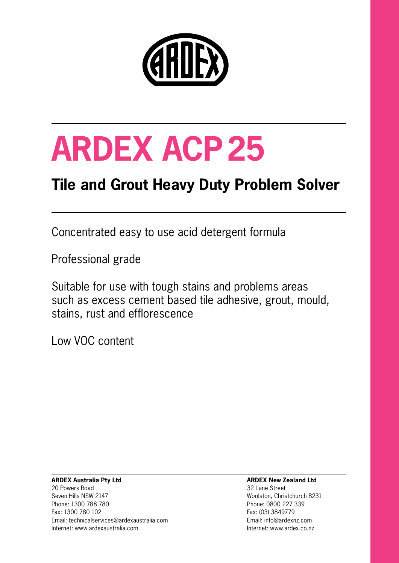

# **ARDEX ACP25**

## **Tile and Grout Heavy Duty Problem Solver**

Concentrated easy to use acid detergent formula

Professional grade

Suitable for use with tough stains and problems areas such as excess cement based tile adhesive, grout, mould, stains, rust and efflorescence

Low VOC content

#### **ARDEX Australia Pty Ltd** 20 Powers Road Seven Hills NSW 2147 Phone: 1300 788 780 Fax: 1300 780 102 Email: technicalservices@ardexaustralia.com Internet: www.ardexaustralia.com

#### **ARDEX New Zealand Ltd**

32 Lane Street Woolston, Christchurch 8231 Phone: 0800 227 339 Fax: (03) 3849779 Email: info@ardexnz.com Internet: www.ardex.co.nz